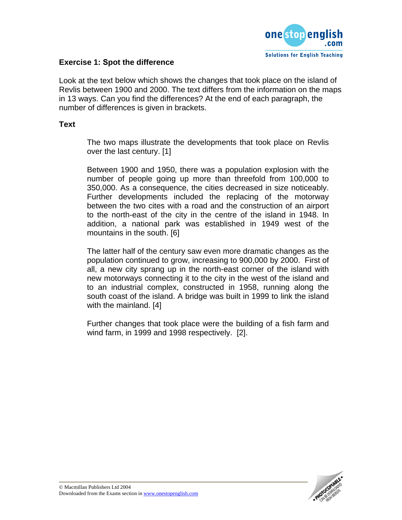

### **Exercise 1: Spot the difference**

Look at the text below which shows the changes that took place on the island of Revlis between 1900 and 2000. The text differs from the information on the maps in 13 ways. Can you find the differences? At the end of each paragraph, the number of differences is given in brackets.

#### **Text**

The two maps illustrate the developments that took place on Revlis over the last century. [1]

Between 1900 and 1950, there was a population explosion with the number of people going up more than threefold from 100,000 to 350,000. As a consequence, the cities decreased in size noticeably. Further developments included the replacing of the motorway between the two cites with a road and the construction of an airport to the north-east of the city in the centre of the island in 1948. In addition, a national park was established in 1949 west of the mountains in the south. [6]

The latter half of the century saw even more dramatic changes as the population continued to grow, increasing to 900,000 by 2000. First of all, a new city sprang up in the north-east corner of the island with new motorways connecting it to the city in the west of the island and to an industrial complex, constructed in 1958, running along the south coast of the island. A bridge was built in 1999 to link the island with the mainland. [4]

Further changes that took place were the building of a fish farm and wind farm, in 1999 and 1998 respectively. [2].

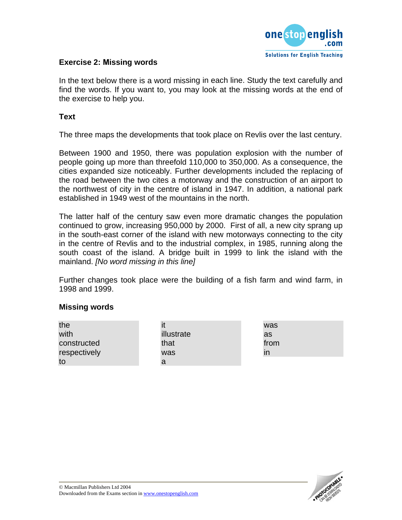

### **Exercise 2: Missing words**

In the text below there is a word missing in each line. Study the text carefully and find the words. If you want to, you may look at the missing words at the end of the exercise to help you.

**Text**

The three maps the developments that took place on Revlis over the last century.

Between 1900 and 1950, there was population explosion with the number of people going up more than threefold 110,000 to 350,000. As a consequence, the cities expanded size noticeably. Further developments included the replacing of the road between the two cites a motorway and the construction of an airport to the northwest of city in the centre of island in 1947. In addition, a national park established in 1949 west of the mountains in the north.

The latter half of the century saw even more dramatic changes the population continued to grow, increasing 950,000 by 2000. First of all, a new city sprang up in the south-east corner of the island with new motorways connecting to the city in the centre of Revlis and to the industrial complex, in 1985, running along the south coast of the island. A bridge built in 1999 to link the island with the mainland. *[No word missing in this line]*

Further changes took place were the building of a fish farm and wind farm, in 1998 and 1999.

#### **Missing words**

| the          |            | was          |
|--------------|------------|--------------|
| with         | illustrate | as           |
| constructed  | that       | from         |
| respectively | was        | $\mathsf{I}$ |
| to           | a          |              |

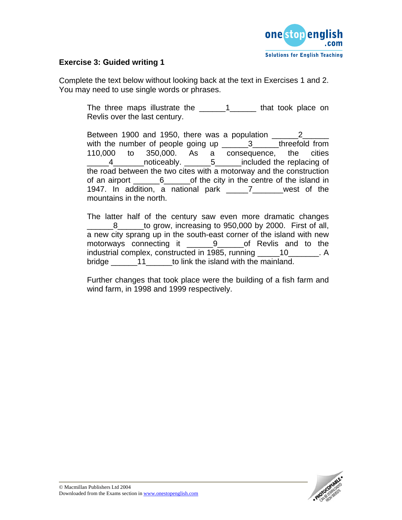

## **Exercise 3: Guided writing 1**

Complete the text below without looking back at the text in Exercises 1 and 2. You may need to use single words or phrases.

> The three maps illustrate the \_\_\_\_\_\_\_1\_\_\_\_\_\_\_\_ that took place on Revlis over the last century.

> Between 1900 and 1950, there was a population \_\_\_\_\_\_\_2\_\_\_\_\_\_\_ with the number of people going up \_\_\_\_\_\_3\_\_\_\_\_threefold from 110,000 to 350,000. As a consequence, the cities 4 \_\_\_\_\_\_\_noticeably. \_\_\_\_\_\_\_5 \_\_\_\_\_\_included the replacing of the road between the two cites with a motorway and the construction of an airport \_\_\_\_\_\_6\_\_\_\_\_\_of the city in the centre of the island in 1947. In addition, a national park \_\_\_\_\_7\_\_\_\_\_\_\_west of the mountains in the north.

> The latter half of the century saw even more dramatic changes 8 to grow, increasing to 950,000 by 2000. First of all, a new city sprang up in the south-east corner of the island with new motorways connecting it **9** of Revlis and to the industrial complex, constructed in 1985, running \_\_\_\_\_10\_\_\_\_\_\_\_. A bridge \_\_\_\_\_\_11\_\_\_\_\_\_to link the island with the mainland.

> Further changes that took place were the building of a fish farm and wind farm, in 1998 and 1999 respectively.

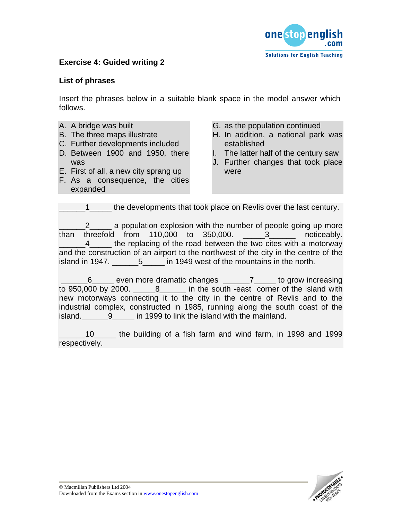

## **Exercise 4: Guided writing 2**

#### **List of phrases**

Insert the phrases below in a suitable blank space in the model answer which follows.

- A. A bridge was built
- B. The three maps illustrate
- C. Further developments included
- D. Between 1900 and 1950, there was
- E. First of all, a new city sprang up
- F. As a consequence, the cities expanded
- G. as the population continued
- H. In addition, a national park was established
- I. The latter half of the century saw
- J. Further changes that took place were

1<sup>1</sup> the developments that took place on Revlis over the last century.

2 a population explosion with the number of people going up more than threefold from 110,000 to 350,000. 3 conticeably. 4 the replacing of the road between the two cites with a motorway and the construction of an airport to the northwest of the city in the centre of the island in 1947. \_\_\_\_\_\_\_5\_\_\_\_\_ in 1949 west of the mountains in the north.

6 even more dramatic changes and to grow increasing to 950,000 by 2000. <br>**B** in the south -east corner of the island with new motorways connecting it to the city in the centre of Revlis and to the industrial complex, constructed in 1985, running along the south coast of the island.\_\_\_\_\_\_9\_\_\_\_\_ in 1999 to link the island with the mainland.

\_\_\_\_\_\_10\_\_\_\_\_ the building of a fish farm and wind farm, in 1998 and 1999 respectively.

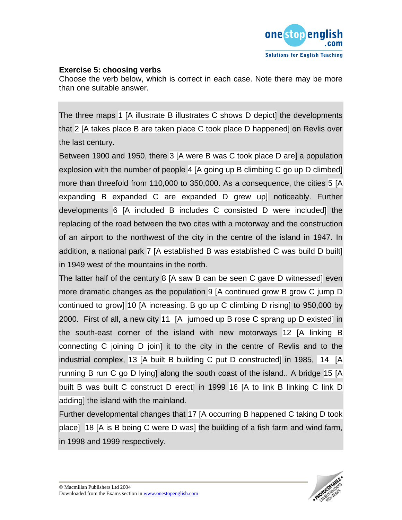

### **Exercise 5: choosing verbs**

Choose the verb below, which is correct in each case. Note there may be more than one suitable answer.

The three maps 1 [A illustrate B illustrates C shows D depict] the developments that 2 [A takes place B are taken place C took place D happened] on Revlis over the last century.

Between 1900 and 1950, there 3 [A were B was C took place D are] a population explosion with the number of people 4 [A going up B climbing C go up D climbed] more than threefold from 110,000 to 350,000. As a consequence, the cities 5 [A expanding B expanded C are expanded D grew up] noticeably. Further developments 6 [A included B includes C consisted D were included] the replacing of the road between the two cites with a motorway and the construction of an airport to the northwest of the city in the centre of the island in 1947. In addition, a national park 7 [A established B was established C was build D built] in 1949 west of the mountains in the north.

The latter half of the century 8 [A saw B can be seen C gave D witnessed] even more dramatic changes as the population 9 [A continued grow B grow C jump D continued to grow] 10 [A increasing. B go up C climbing D rising] to 950,000 by 2000. First of all, a new city 11 [A jumped up B rose C sprang up D existed] in the south-east corner of the island with new motorways 12 [A linking B connecting C joining D join] it to the city in the centre of Revlis and to the industrial complex, 13 [A built B building C put D constructed] in 1985, 14 [A running B run C go D lying] along the south coast of the island.. A bridge 15 [A built B was built C construct D erect] in 1999 16 [A to link B linking C link D adding] the island with the mainland.

Further developmental changes that 17 [A occurring B happened C taking D took place] 18 [A is B being C were D was] the building of a fish farm and wind farm, in 1998 and 1999 respectively.

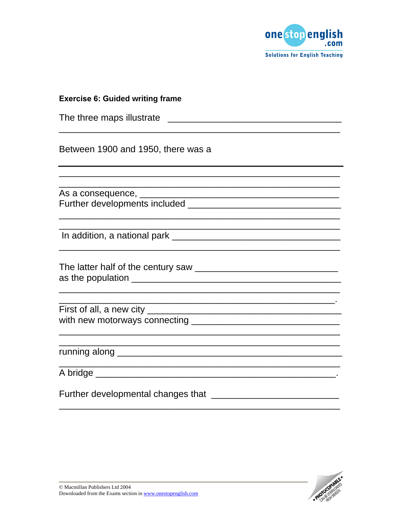

|  | <b>Solutions for English Teaching</b> |  |
|--|---------------------------------------|--|
|--|---------------------------------------|--|

| <b>Exercise 6: Guided writing frame</b>                                                                               |
|-----------------------------------------------------------------------------------------------------------------------|
|                                                                                                                       |
| Between 1900 and 1950, there was a                                                                                    |
|                                                                                                                       |
|                                                                                                                       |
|                                                                                                                       |
| <u> 1989 - Johann Stoff, deutscher Stoff, der Stoff, der Stoff, der Stoff, der Stoff, der Stoff, der Stoff, der S</u> |
| <u> 1989 - Johann Stoff, deutscher Stoff, der Stoff, der Stoff, der Stoff, der Stoff, der Stoff, der Stoff, der S</u> |
|                                                                                                                       |
|                                                                                                                       |